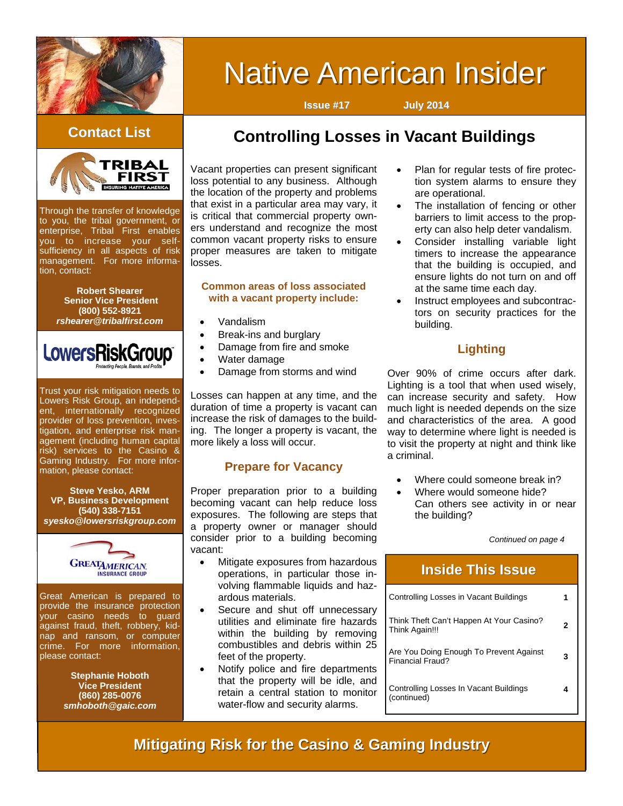

# **Native American Insider**

**Issue #17 July 2014**



Through the transfer of knowledge to you, the tribal government, or enterprise, Tribal First enables you to increase your selfsufficiency in all aspects of risk management. For more information, contact:

> **Robert Shearer Senior Vice President (800) 552-8921**  *rshearer@tribalfirst.com*



Trust your risk mitigation needs to Lowers Risk Group, an independent, internationally recognized provider of loss prevention, investigation, and enterprise risk management (including human capital risk) services to the Casino & Gaming Industry. For more information, please contact:

**Steve Yesko, ARM VP, Business Development (540) 338-7151**  *syesko@lowersriskgroup.com* 



Great American is prepared to provide the insurance protection your casino needs to guard against fraud, theft, robbery, kidnap and ransom, or computer crime. For more information, please contact:

> **Stephanie Hoboth Vice President (860) 285-0076**  *smhoboth@gaic.com*

# **Contact List Controlling Losses in Vacant Buildings**

Vacant properties can present significant loss potential to any business. Although the location of the property and problems that exist in a particular area may vary, it is critical that commercial property owners understand and recognize the most common vacant property risks to ensure proper measures are taken to mitigate losses.

#### **Common areas of loss associated with a vacant property include:**

- Vandalism
- Break-ins and burglary
- Damage from fire and smoke
- Water damage
- Damage from storms and wind

Losses can happen at any time, and the duration of time a property is vacant can increase the risk of damages to the building. The longer a property is vacant, the more likely a loss will occur.

#### **Prepare for Vacancy**

Proper preparation prior to a building becoming vacant can help reduce loss exposures. The following are steps that a property owner or manager should consider prior to a building becoming vacant:

- Mitigate exposures from hazardous operations, in particular those involving flammable liquids and hazardous materials.
- Secure and shut off unnecessary utilities and eliminate fire hazards within the building by removing combustibles and debris within 25 feet of the property.
- Notify police and fire departments that the property will be idle, and retain a central station to monitor water-flow and security alarms.
- Plan for regular tests of fire protection system alarms to ensure they are operational.
- The installation of fencing or other barriers to limit access to the property can also help deter vandalism.
- Consider installing variable light timers to increase the appearance that the building is occupied, and ensure lights do not turn on and off at the same time each day.
- Instruct employees and subcontractors on security practices for the building.

#### **Lighting**

Over 90% of crime occurs after dark. Lighting is a tool that when used wisely, can increase security and safety. How much light is needed depends on the size and characteristics of the area. A good way to determine where light is needed is to visit the property at night and think like a criminal.

- Where could someone break in?
- Where would someone hide? Can others see activity in or near the building?

*Continued on page 4* 

| <b>Inside This Issue</b>                                    |   |
|-------------------------------------------------------------|---|
| Controlling Losses in Vacant Buildings                      |   |
| Think Theft Can't Happen At Your Casino?<br>Think Again!!!  | 2 |
| Are You Doing Enough To Prevent Against<br>Financial Fraud? | 3 |
| Controlling Losses In Vacant Buildings<br>(continued)       | 4 |

# **Mitigating Risk for the Casino & Gaming Industry**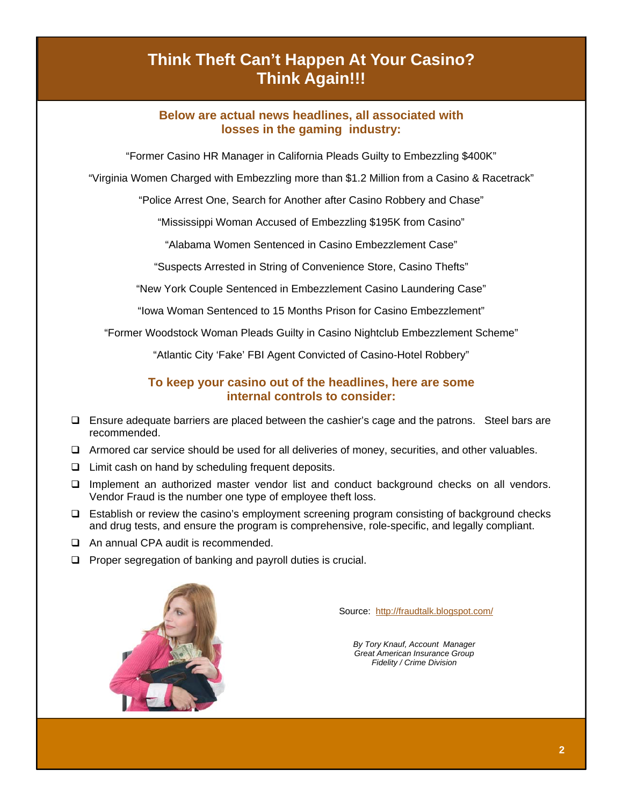# **Think Theft Can't Happen At Your Casino? Think Again!!!**

#### **Below are actual news headlines, all associated with losses in the gaming industry:**

"Former Casino HR Manager in California Pleads Guilty to Embezzling \$400K"

"Virginia Women Charged with Embezzling more than \$1.2 Million from a Casino & Racetrack"

"Police Arrest One, Search for Another after Casino Robbery and Chase"

"Mississippi Woman Accused of Embezzling \$195K from Casino"

"Alabama Women Sentenced in Casino Embezzlement Case"

"Suspects Arrested in String of Convenience Store, Casino Thefts"

"New York Couple Sentenced in Embezzlement Casino Laundering Case"

"Iowa Woman Sentenced to 15 Months Prison for Casino Embezzlement"

"Former Woodstock Woman Pleads Guilty in Casino Nightclub Embezzlement Scheme"

"Atlantic City 'Fake' FBI Agent Convicted of Casino-Hotel Robbery"

#### **To keep your casino out of the headlines, here are some internal controls to consider:**

- $\Box$  Ensure adequate barriers are placed between the cashier's cage and the patrons. Steel bars are recommended.
- Armored car service should be used for all deliveries of money, securities, and other valuables.
- $\Box$  Limit cash on hand by scheduling frequent deposits.
- $\Box$  Implement an authorized master vendor list and conduct background checks on all vendors. Vendor Fraud is the number one type of employee theft loss.
- Establish or review the casino's employment screening program consisting of background checks and drug tests, and ensure the program is comprehensive, role-specific, and legally compliant.
- □ An annual CPA audit is recommended.
- $\Box$  Proper segregation of banking and payroll duties is crucial.



Source: <http://fraudtalk.blogspot.com/>

*By Tory Knauf, Account Manager Great American Insurance Group Fidelity / Crime Division*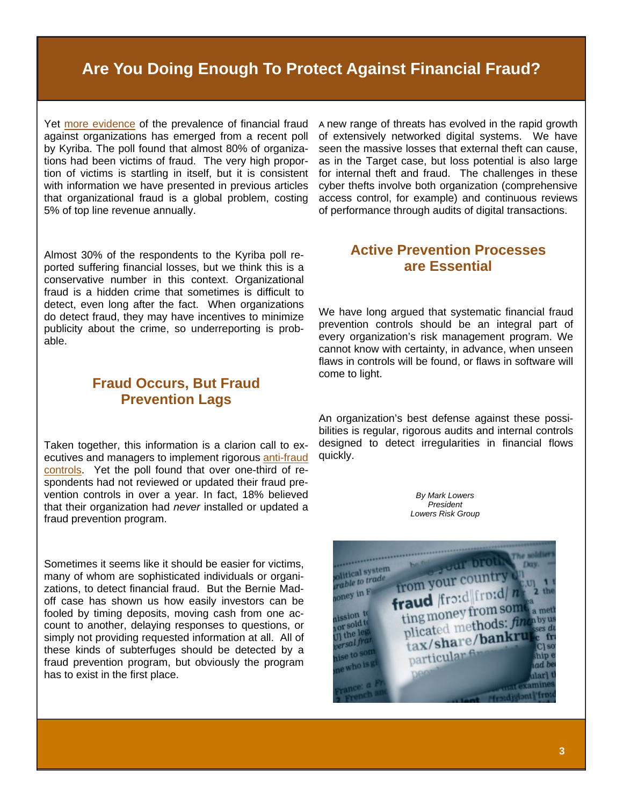# **Are You Doing Enough To Protect Against Financial Fraud?**

Yet [more evidence](http://www.digitaljournal.com/pr/1868416#ixzz30BluEnBJ) of the prevalence of financial fraud against organizations has emerged from a recent poll by Kyriba. The poll found that almost 80% of organizations had been victims of fraud. The very high proportion of victims is startling in itself, but it is consistent with information we have presented in previous articles that organizational fraud is a global problem, costing 5% of top line revenue annually.

Almost 30% of the respondents to the Kyriba poll reported suffering financial losses, but we think this is a conservative number in this context. Organizational fraud is a hidden crime that sometimes is difficult to detect, even long after the fact. When organizations do detect fraud, they may have incentives to minimize publicity about the crime, so underreporting is probable.

### **Fraud Occurs, But Fraud Prevention Lags**

Taken together, this information is a clarion call to executives and managers to implement rigorous [anti-fraud](http://www.lowersrisk.com/services/fraud-investigations.php)  [controls](http://www.lowersrisk.com/services/fraud-investigations.php). Yet the poll found that over one-third of respondents had not reviewed or updated their fraud prevention controls in over a year. In fact, 18% believed that their organization had *never* installed or updated a fraud prevention program.

Sometimes it seems like it should be easier for victims, many of whom are sophisticated individuals or organizations, to detect financial fraud. But the Bernie Madoff case has shown us how easily investors can be fooled by timing deposits, moving cash from one account to another, delaying responses to questions, or simply not providing requested information at all. All of these kinds of subterfuges should be detected by a fraud prevention program, but obviously the program has to exist in the first place.

A new range of threats has evolved in the rapid growth of extensively networked digital systems. We have seen the massive losses that external theft can cause, as in the Target case, but loss potential is also large for internal theft and fraud. The challenges in these cyber thefts involve both organization (comprehensive access control, for example) and continuous reviews of performance through audits of digital transactions.

#### **Active Prevention Processes are Essential**

We have long argued that systematic financial fraud prevention controls should be an integral part of every organization's risk management program. We cannot know with certainty, in advance, when unseen flaws in controls will be found, or flaws in software will come to light.

An organization's best defense against these possibilities is regular, rigorous audits and internal controls designed to detect irregularities in financial flows quickly.

> *By Mark Lowers [Presiden](http://www.lowersriskgroup.com/news/index.php?id=11)t Lowers Risk Group*